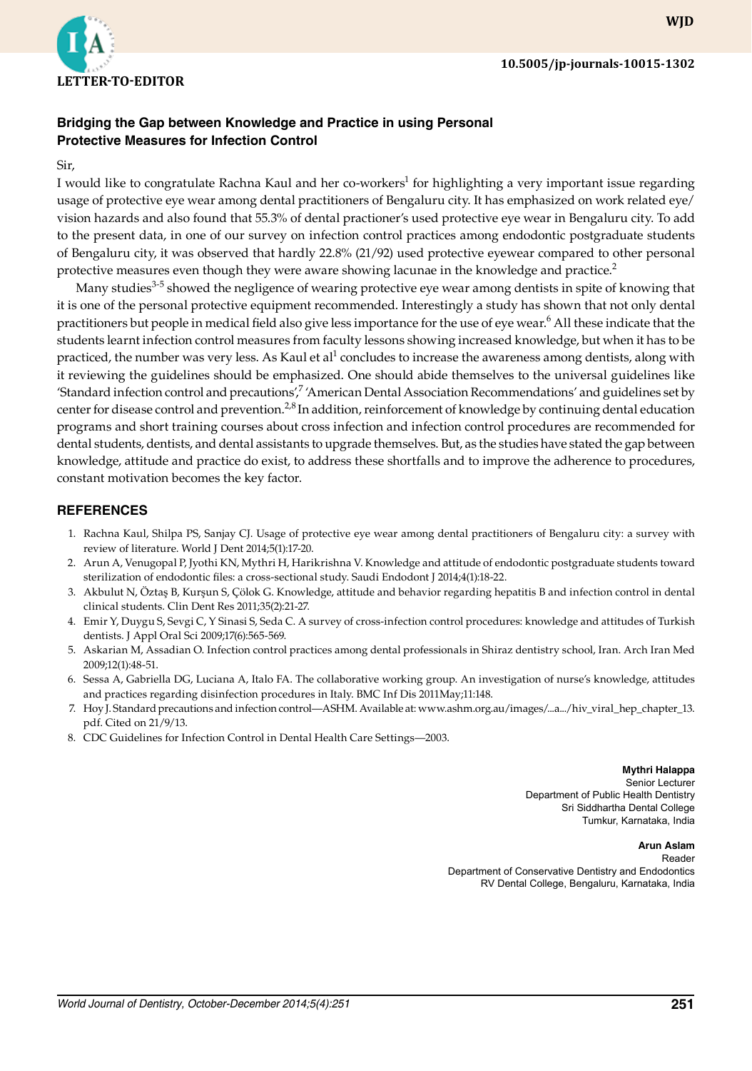

## **Bridging the Gap between Knowledge and Practice in using Personal Protective Measures for Infection Control**

Sir,

I would like to congratulate Rachna Kaul and her co-workers<sup>1</sup> for highlighting a very important issue regarding usage of protective eye wear among dental practitioners of Bengaluru city. It has emphasized on work related eye/ vision hazards and also found that 55.3% of dental practioner's used protective eye wear in Bengaluru city. To add to the present data, in one of our survey on infection control practices among endodontic postgraduate students of Bengaluru city, it was observed that hardly 22.8% (21/92) used protective eyewear compared to other personal protective measures even though they were aware showing lacunae in the knowledge and practice. $2$ 

Many studies<sup>3-5</sup> showed the negligence of wearing protective eye wear among dentists in spite of knowing that it is one of the personal protective equipment recommended. Interestingly a study has shown that not only dental practitioners but people in medical field also give less importance for the use of eye wear.<sup>6</sup> All these indicate that the students learnt infection control measures from faculty lessons showing increased knowledge, but when it has to be practiced, the number was very less. As Kaul et al<sup>1</sup> concludes to increase the awareness among dentists, along with it reviewing the guidelines should be emphasized. One should abide themselves to the universal guidelines like 'Standard infection control and precautions',<sup>7</sup> 'American Dental Association Recommendations' and guidelines set by center for disease control and prevention.<sup>2,8</sup> In addition, reinforcement of knowledge by continuing dental education programs and short training courses about cross infection and infection control procedures are recommended for dental students, dentists, and dental assistants to upgrade themselves. But, as the studies have stated the gap between knowledge, attitude and practice do exist, to address these shortfalls and to improve the adherence to procedures, constant motivation becomes the key factor.

## **References**

- 1. Rachna Kaul, Shilpa PS, Sanjay CJ. Usage of protective eye wear among dental practitioners of Bengaluru city: a survey with review of literature. World J Dent 2014;5(1):17-20.
- 2. Arun A, Venugopal P, Jyothi KN, Mythri H, Harikrishna V. Knowledge and attitude of endodontic postgraduate students toward sterilization of endodontic files: a cross‑sectional study. Saudi Endodont J 2014;4(1):18-22.
- 3. Akbulut N, Öztaş B, Kurşun S, Çölok G. Knowledge, attitude and behavior regarding hepatitis B and infection control in dental clinical students. Clin Dent Res 2011;35(2):21-27.
- 4. Emir Y, Duygu S, Sevgi C, Y Sinasi S, Seda C. A survey of cross-infection control procedures: knowledge and attitudes of Turkish dentists. J Appl Oral Sci 2009;17(6):565-569.
- 5. Askarian M, Assadian O. Infection control practices among dental professionals in Shiraz dentistry school, Iran. Arch Iran Med 2009;12(1):48-51.
- 6. Sessa A, Gabriella DG, Luciana A, Italo FA. The collaborative working group. An investigation of nurse's knowledge, attitudes and practices regarding disinfection procedures in Italy. BMC Inf Dis 2011May;11:148.
- 7. Hoy J. Standard precautions and infection control—ASHM. Available at: www.ashm.org.au/images/...a.../hiv\_viral\_hep\_chapter\_13. pdf. Cited on 21/9/13.
- 8. CDC Guidelines for Infection Control in Dental Health Care Settings—2003.

## **Mythri Halappa**

Senior Lecturer Department of Public Health Dentistry Sri Siddhartha Dental College Tumkur, Karnataka, India

## **Arun Aslam**

Reader Department of Conservative Dentistry and Endodontics RV Dental College, Bengaluru, Karnataka, India